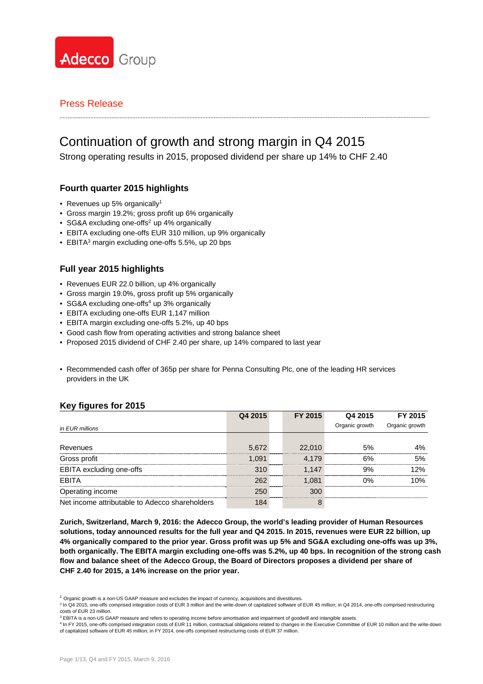

# Continuation of growth and strong margin in Q4 2015

Strong operating results in 2015, proposed dividend per share up 14% to CHF 2.40

# **Fourth quarter 2015 highlights**

- Revenues up 5% organically<sup>1</sup>
- Gross margin 19.2%; gross profit up 6% organically
- SG&A excluding one-offs<sup>2</sup> up 4% organically
- EBITA excluding one-offs EUR 310 million, up 9% organically
- EBITA<sup>3</sup> margin excluding one-offs 5.5%, up 20 bps

## **Full year 2015 highlights**

- Revenues EUR 22.0 billion, up 4% organically
- Gross margin 19.0%, gross profit up 5% organically
- SG&A excluding one-offs<sup>4</sup> up 3% organically
- EBITA excluding one-offs EUR 1,147 million
- EBITA margin excluding one-offs 5.2%, up 40 bps
- Good cash flow from operating activities and strong balance sheet
- Proposed 2015 dividend of CHF 2.40 per share, up 14% compared to last year
- Recommended cash offer of 365p per share for Penna Consulting Plc, one of the leading HR services providers in the UK

## **Key figures for 2015**

|                                                | Q4 2015 | FY 2015 | Q4 2015        | FY 2015        |
|------------------------------------------------|---------|---------|----------------|----------------|
| in EUR millions                                |         |         | Organic growth | Organic growth |
|                                                |         |         |                |                |
| Revenues                                       | 5.672   | 22,010  | .5%            |                |
| Gross profit                                   | I N91   | 179     | 6%             | 5%             |
| EBITA excluding one-offs                       | 21 C    | 1.147   | 9%             | ን%             |
| <b>FBITA</b>                                   | 262     | O81     | ገ%             |                |
| Operating income                               |         | וחד     |                |                |
| Net income attributable to Adecco shareholders |         |         |                |                |

**Zurich, Switzerland, March 9, 2016: the Adecco Group, the world's leading provider of Human Resources solutions, today announced results for the full year and Q4 2015. In 2015, revenues were EUR 22 billion, up 4% organically compared to the prior year. Gross profit was up 5% and SG&A excluding one-offs was up 3%, both organically. The EBITA margin excluding one-offs was 5.2%, up 40 bps. In recognition of the strong cash flow and balance sheet of the Adecco Group, the Board of Directors proposes a dividend per share of CHF 2.40 for 2015, a 14% increase on the prior year.** 

 $1$  Organic growth is a non-US GAAP measure and excludes the impact of currency, acquisitions and divestitures.

<sup>2</sup> In Q4 2015, one-offs comprised integration costs of EUR 3 million and the write-down of capitalized software of EUR 45 million; in Q4 2014, one-offs comprised restructuring costs of EUR 23 million.<br><sup>3</sup> EBITA is a non-US GAAP measure and refers to operating income before amortisation and impairment of goodwill and intangible assets.

<sup>4</sup> In FY 2015, one-offs comprised integration costs of EUR 11 million, contractual obligations related to changes in the Executive Committee of EUR 10 million and the write-down of capitalized software of EUR 45 million; in FY 2014, one-offs comprised restructuring costs of EUR 37 million.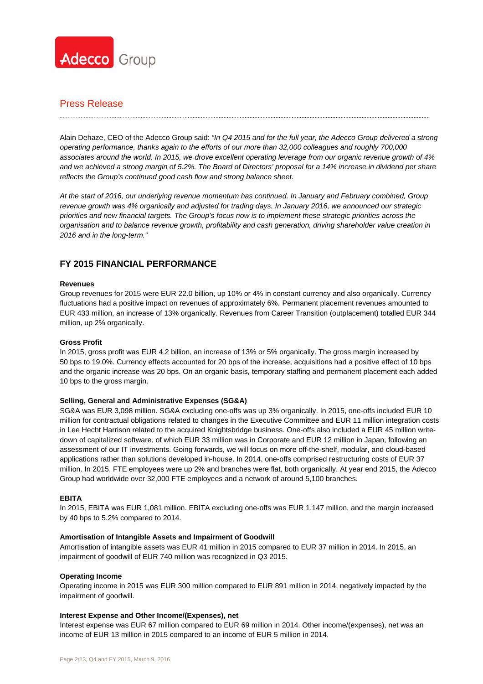

Alain Dehaze, CEO of the Adecco Group said: *"In Q4 2015 and for the full year, the Adecco Group delivered a strong operating performance, thanks again to the efforts of our more than 32,000 colleagues and roughly 700,000 associates around the world. In 2015, we drove excellent operating leverage from our organic revenue growth of 4% and we achieved a strong margin of 5.2%. The Board of Directors' proposal for a 14% increase in dividend per share reflects the Group's continued good cash flow and strong balance sheet.* 

*At the start of 2016, our underlying revenue momentum has continued. In January and February combined, Group revenue growth was 4% organically and adjusted for trading days. In January 2016, we announced our strategic priorities and new financial targets. The Group's focus now is to implement these strategic priorities across the organisation and to balance revenue growth, profitability and cash generation, driving shareholder value creation in 2016 and in the long-term."* 

# **FY 2015 FINANCIAL PERFORMANCE**

#### **Revenues**

Group revenues for 2015 were EUR 22.0 billion, up 10% or 4% in constant currency and also organically. Currency fluctuations had a positive impact on revenues of approximately 6%. Permanent placement revenues amounted to EUR 433 million, an increase of 13% organically. Revenues from Career Transition (outplacement) totalled EUR 344 million, up 2% organically.

#### **Gross Profit**

In 2015, gross profit was EUR 4.2 billion, an increase of 13% or 5% organically. The gross margin increased by 50 bps to 19.0%. Currency effects accounted for 20 bps of the increase, acquisitions had a positive effect of 10 bps and the organic increase was 20 bps. On an organic basis, temporary staffing and permanent placement each added 10 bps to the gross margin.

#### **Selling, General and Administrative Expenses (SG&A)**

SG&A was EUR 3,098 million. SG&A excluding one-offs was up 3% organically. In 2015, one-offs included EUR 10 million for contractual obligations related to changes in the Executive Committee and EUR 11 million integration costs in Lee Hecht Harrison related to the acquired Knightsbridge business. One-offs also included a EUR 45 million writedown of capitalized software, of which EUR 33 million was in Corporate and EUR 12 million in Japan, following an assessment of our IT investments. Going forwards, we will focus on more off-the-shelf, modular, and cloud-based applications rather than solutions developed in-house. In 2014, one-offs comprised restructuring costs of EUR 37 million. In 2015, FTE employees were up 2% and branches were flat, both organically. At year end 2015, the Adecco Group had worldwide over 32,000 FTE employees and a network of around 5,100 branches.

#### **EBITA**

In 2015, EBITA was EUR 1,081 million. EBITA excluding one-offs was EUR 1,147 million, and the margin increased by 40 bps to 5.2% compared to 2014.

#### **Amortisation of Intangible Assets and Impairment of Goodwill**

Amortisation of intangible assets was EUR 41 million in 2015 compared to EUR 37 million in 2014. In 2015, an impairment of goodwill of EUR 740 million was recognized in Q3 2015.

#### **Operating Income**

Operating income in 2015 was EUR 300 million compared to EUR 891 million in 2014, negatively impacted by the impairment of goodwill.

#### **Interest Expense and Other Income/(Expenses), net**

Interest expense was EUR 67 million compared to EUR 69 million in 2014. Other income/(expenses), net was an income of EUR 13 million in 2015 compared to an income of EUR 5 million in 2014.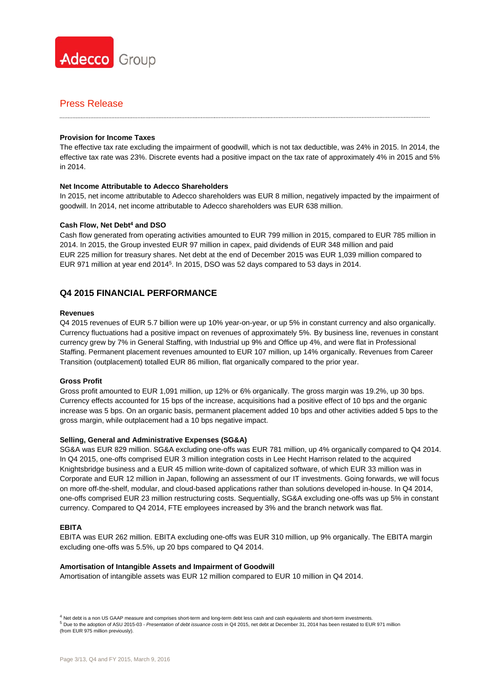

#### **Provision for Income Taxes**

The effective tax rate excluding the impairment of goodwill, which is not tax deductible, was 24% in 2015. In 2014, the effective tax rate was 23%. Discrete events had a positive impact on the tax rate of approximately 4% in 2015 and 5% in 2014.

#### **Net Income Attributable to Adecco Shareholders**

In 2015, net income attributable to Adecco shareholders was EUR 8 million, negatively impacted by the impairment of goodwill. In 2014, net income attributable to Adecco shareholders was EUR 638 million.

#### **Cash Flow, Net Debt4 and DSO**

Cash flow generated from operating activities amounted to EUR 799 million in 2015, compared to EUR 785 million in 2014. In 2015, the Group invested EUR 97 million in capex, paid dividends of EUR 348 million and paid EUR 225 million for treasury shares. Net debt at the end of December 2015 was EUR 1,039 million compared to EUR 971 million at year end 2014<sup>5</sup>. In 2015, DSO was 52 days compared to 53 days in 2014.

## **Q4 2015 FINANCIAL PERFORMANCE**

#### **Revenues**

Q4 2015 revenues of EUR 5.7 billion were up 10% year-on-year, or up 5% in constant currency and also organically. Currency fluctuations had a positive impact on revenues of approximately 5%. By business line, revenues in constant currency grew by 7% in General Staffing, with Industrial up 9% and Office up 4%, and were flat in Professional Staffing. Permanent placement revenues amounted to EUR 107 million, up 14% organically. Revenues from Career Transition (outplacement) totalled EUR 86 million, flat organically compared to the prior year.

#### **Gross Profit**

Gross profit amounted to EUR 1,091 million, up 12% or 6% organically. The gross margin was 19.2%, up 30 bps. Currency effects accounted for 15 bps of the increase, acquisitions had a positive effect of 10 bps and the organic increase was 5 bps. On an organic basis, permanent placement added 10 bps and other activities added 5 bps to the gross margin, while outplacement had a 10 bps negative impact.

#### **Selling, General and Administrative Expenses (SG&A)**

SG&A was EUR 829 million. SG&A excluding one-offs was EUR 781 million, up 4% organically compared to Q4 2014. In Q4 2015, one-offs comprised EUR 3 million integration costs in Lee Hecht Harrison related to the acquired Knightsbridge business and a EUR 45 million write-down of capitalized software, of which EUR 33 million was in Corporate and EUR 12 million in Japan, following an assessment of our IT investments. Going forwards, we will focus on more off-the-shelf, modular, and cloud-based applications rather than solutions developed in-house. In Q4 2014, one-offs comprised EUR 23 million restructuring costs. Sequentially, SG&A excluding one-offs was up 5% in constant currency. Compared to Q4 2014, FTE employees increased by 3% and the branch network was flat.

#### **EBITA**

EBITA was EUR 262 million. EBITA excluding one-offs was EUR 310 million, up 9% organically. The EBITA margin excluding one-offs was 5.5%, up 20 bps compared to Q4 2014.

#### **Amortisation of Intangible Assets and Impairment of Goodwill**

Amortisation of intangible assets was EUR 12 million compared to EUR 10 million in Q4 2014.

4 Net debt is a non US GAAP measure and comprises short-term and long-term debt less cash and cash equivalents and short-term investments. <sup>5</sup> Due to the adoption of ASU 2015-03 - *Presentation of debt issuance costs* in Q4 2015, net debt at December 31, 2014 has been restated to EUR 971 million (from EUR 975 million previously).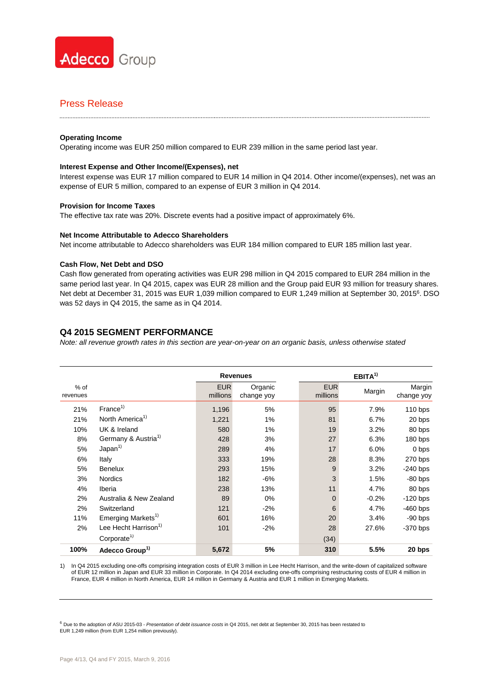

#### **Operating Income**

Operating income was EUR 250 million compared to EUR 239 million in the same period last year.

#### **Interest Expense and Other Income/(Expenses), net**

Interest expense was EUR 17 million compared to EUR 14 million in Q4 2014. Other income/(expenses), net was an expense of EUR 5 million, compared to an expense of EUR 3 million in Q4 2014.

#### **Provision for Income Taxes**

The effective tax rate was 20%. Discrete events had a positive impact of approximately 6%.

#### **Net Income Attributable to Adecco Shareholders**

Net income attributable to Adecco shareholders was EUR 184 million compared to EUR 185 million last year.

#### **Cash Flow, Net Debt and DSO**

Cash flow generated from operating activities was EUR 298 million in Q4 2015 compared to EUR 284 million in the same period last year. In Q4 2015, capex was EUR 28 million and the Group paid EUR 93 million for treasury shares. Net debt at December 31, 2015 was EUR 1,039 million compared to EUR 1,249 million at September 30, 20156. DSO was 52 days in Q4 2015, the same as in Q4 2014.

#### **Q4 2015 SEGMENT PERFORMANCE**

*Note: all revenue growth rates in this section are year-on-year on an organic basis, unless otherwise stated* 

|                    |                                  |                        | <b>Revenues</b>       | $EBITA^{1)}$           |         |                      |  |
|--------------------|----------------------------------|------------------------|-----------------------|------------------------|---------|----------------------|--|
| $%$ of<br>revenues |                                  | <b>EUR</b><br>millions | Organic<br>change yoy | <b>EUR</b><br>millions | Margin  | Margin<br>change yoy |  |
| 21%                | France <sup>1</sup>              | 1,196                  | 5%                    | 95                     | 7.9%    | $110$ bps            |  |
| 21%                | North America <sup>1)</sup>      | 1,221                  | 1%                    | 81                     | 6.7%    | 20 bps               |  |
| 10%                | UK & Ireland                     | 580                    | 1%                    | 19                     | 3.2%    | 80 bps               |  |
| 8%                 | Germany & Austria <sup>1)</sup>  | 428                    | 3%                    | 27                     | 6.3%    | 180 bps              |  |
| 5%                 | Japan <sup>1</sup>               | 289                    | 4%                    | 17                     | 6.0%    | 0 bps                |  |
| 6%                 | Italy                            | 333                    | 19%                   | 28                     | 8.3%    | 270 bps              |  |
| 5%                 | <b>Benelux</b>                   | 293                    | 15%                   | 9                      | 3.2%    | $-240$ bps           |  |
| 3%                 | Nordics                          | 182                    | $-6%$                 | 3                      | 1.5%    | $-80$ bps            |  |
| 4%                 | Iberia                           | 238                    | 13%                   | 11                     | 4.7%    | 80 bps               |  |
| 2%                 | Australia & New Zealand          | 89                     | $0\%$                 | $\mathbf 0$            | $-0.2%$ | $-120$ bps           |  |
| 2%                 | Switzerland                      | 121                    | $-2%$                 | 6                      | 4.7%    | $-460$ bps           |  |
| 11%                | Emerging Markets <sup>1)</sup>   | 601                    | 16%                   | 20                     | 3.4%    | $-90$ bps            |  |
| 2%                 | Lee Hecht Harrison <sup>1)</sup> | 101                    | $-2%$                 | 28                     | 27.6%   | $-370$ bps           |  |
|                    | Corporate <sup>1)</sup>          |                        |                       | (34)                   |         |                      |  |
| 100%               | Adecco Group <sup>1)</sup>       | 5,672                  | 5%                    | 310                    | 5.5%    | 20 bps               |  |

1) In Q4 2015 excluding one-offs comprising integration costs of EUR 3 million in Lee Hecht Harrison, and the write-down of capitalized software of EUR 12 million in Japan and EUR 33 million in Corporate. In Q4 2014 excluding one-offs comprising restructuring costs of EUR 4 million in France, EUR 4 million in North America, EUR 14 million in Germany & Austria and EUR 1 million in Emerging Markets.

<sup>6</sup> Due to the adoption of ASU 2015-03 - *Presentation of debt issuance costs* in Q4 2015, net debt at September 30, 2015 has been restated to EUR 1,249 million (from EUR 1,254 million previously).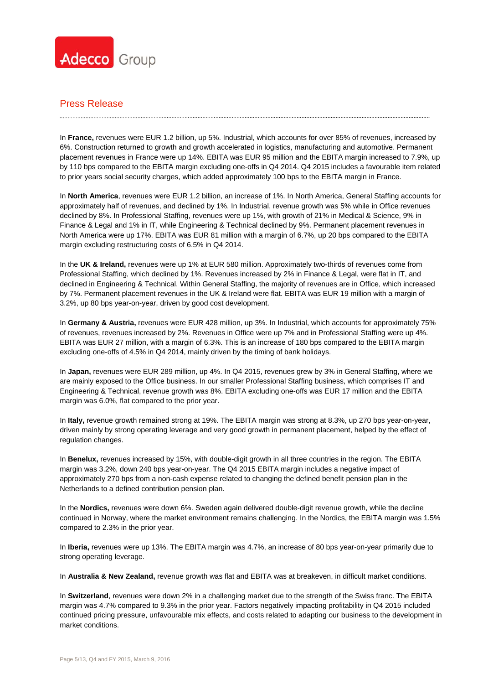

In **France,** revenues were EUR 1.2 billion, up 5%. Industrial, which accounts for over 85% of revenues, increased by 6%. Construction returned to growth and growth accelerated in logistics, manufacturing and automotive. Permanent placement revenues in France were up 14%. EBITA was EUR 95 million and the EBITA margin increased to 7.9%, up by 110 bps compared to the EBITA margin excluding one-offs in Q4 2014. Q4 2015 includes a favourable item related to prior years social security charges, which added approximately 100 bps to the EBITA margin in France.

In **North America**, revenues were EUR 1.2 billion, an increase of 1%. In North America, General Staffing accounts for approximately half of revenues, and declined by 1%. In Industrial, revenue growth was 5% while in Office revenues declined by 8%. In Professional Staffing, revenues were up 1%, with growth of 21% in Medical & Science, 9% in Finance & Legal and 1% in IT, while Engineering & Technical declined by 9%. Permanent placement revenues in North America were up 17%. EBITA was EUR 81 million with a margin of 6.7%, up 20 bps compared to the EBITA margin excluding restructuring costs of 6.5% in Q4 2014.

In the **UK & Ireland,** revenues were up 1% at EUR 580 million. Approximately two-thirds of revenues come from Professional Staffing, which declined by 1%. Revenues increased by 2% in Finance & Legal, were flat in IT, and declined in Engineering & Technical. Within General Staffing, the majority of revenues are in Office, which increased by 7%. Permanent placement revenues in the UK & Ireland were flat. EBITA was EUR 19 million with a margin of 3.2%, up 80 bps year-on-year, driven by good cost development.

In **Germany & Austria,** revenues were EUR 428 million, up 3%. In Industrial, which accounts for approximately 75% of revenues, revenues increased by 2%. Revenues in Office were up 7% and in Professional Staffing were up 4%. EBITA was EUR 27 million, with a margin of 6.3%. This is an increase of 180 bps compared to the EBITA margin excluding one-offs of 4.5% in Q4 2014, mainly driven by the timing of bank holidays.

In **Japan,** revenues were EUR 289 million, up 4%. In Q4 2015, revenues grew by 3% in General Staffing, where we are mainly exposed to the Office business. In our smaller Professional Staffing business, which comprises IT and Engineering & Technical, revenue growth was 8%. EBITA excluding one-offs was EUR 17 million and the EBITA margin was 6.0%, flat compared to the prior year.

In **Italy,** revenue growth remained strong at 19%. The EBITA margin was strong at 8.3%, up 270 bps year-on-year, driven mainly by strong operating leverage and very good growth in permanent placement, helped by the effect of regulation changes.

In **Benelux,** revenues increased by 15%, with double-digit growth in all three countries in the region. The EBITA margin was 3.2%, down 240 bps year-on-year. The Q4 2015 EBITA margin includes a negative impact of approximately 270 bps from a non-cash expense related to changing the defined benefit pension plan in the Netherlands to a defined contribution pension plan.

In the **Nordics,** revenues were down 6%. Sweden again delivered double-digit revenue growth, while the decline continued in Norway, where the market environment remains challenging. In the Nordics, the EBITA margin was 1.5% compared to 2.3% in the prior year.

In **Iberia,** revenues were up 13%. The EBITA margin was 4.7%, an increase of 80 bps year-on-year primarily due to strong operating leverage.

In **Australia & New Zealand,** revenue growth was flat and EBITA was at breakeven, in difficult market conditions.

In **Switzerland**, revenues were down 2% in a challenging market due to the strength of the Swiss franc. The EBITA margin was 4.7% compared to 9.3% in the prior year. Factors negatively impacting profitability in Q4 2015 included continued pricing pressure, unfavourable mix effects, and costs related to adapting our business to the development in market conditions.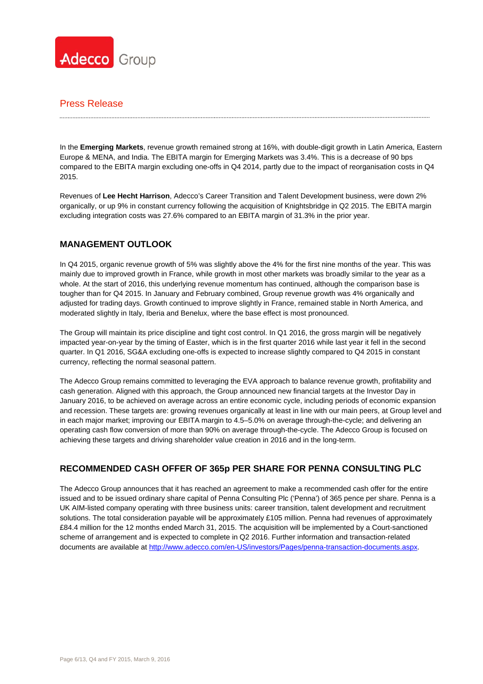

In the **Emerging Markets**, revenue growth remained strong at 16%, with double-digit growth in Latin America, Eastern Europe & MENA, and India. The EBITA margin for Emerging Markets was 3.4%. This is a decrease of 90 bps compared to the EBITA margin excluding one-offs in Q4 2014, partly due to the impact of reorganisation costs in Q4 2015.

Revenues of **Lee Hecht Harrison**, Adecco's Career Transition and Talent Development business, were down 2% organically, or up 9% in constant currency following the acquisition of Knightsbridge in Q2 2015. The EBITA margin excluding integration costs was 27.6% compared to an EBITA margin of 31.3% in the prior year.

# **MANAGEMENT OUTLOOK**

In Q4 2015, organic revenue growth of 5% was slightly above the 4% for the first nine months of the year. This was mainly due to improved growth in France, while growth in most other markets was broadly similar to the year as a whole. At the start of 2016, this underlying revenue momentum has continued, although the comparison base is tougher than for Q4 2015. In January and February combined, Group revenue growth was 4% organically and adjusted for trading days. Growth continued to improve slightly in France, remained stable in North America, and moderated slightly in Italy, Iberia and Benelux, where the base effect is most pronounced.

The Group will maintain its price discipline and tight cost control. In Q1 2016, the gross margin will be negatively impacted year-on-year by the timing of Easter, which is in the first quarter 2016 while last year it fell in the second quarter. In Q1 2016, SG&A excluding one-offs is expected to increase slightly compared to Q4 2015 in constant currency, reflecting the normal seasonal pattern.

The Adecco Group remains committed to leveraging the EVA approach to balance revenue growth, profitability and cash generation. Aligned with this approach, the Group announced new financial targets at the Investor Day in January 2016, to be achieved on average across an entire economic cycle, including periods of economic expansion and recession. These targets are: growing revenues organically at least in line with our main peers, at Group level and in each major market; improving our EBITA margin to 4.5–5.0% on average through-the-cycle; and delivering an operating cash flow conversion of more than 90% on average through-the-cycle. The Adecco Group is focused on achieving these targets and driving shareholder value creation in 2016 and in the long-term.

# **RECOMMENDED CASH OFFER OF 365p PER SHARE FOR PENNA CONSULTING PLC**

The Adecco Group announces that it has reached an agreement to make a recommended cash offer for the entire issued and to be issued ordinary share capital of Penna Consulting Plc ('Penna') of 365 pence per share. Penna is a UK AIM-listed company operating with three business units: career transition, talent development and recruitment solutions. The total consideration payable will be approximately £105 million. Penna had revenues of approximately £84.4 million for the 12 months ended March 31, 2015. The acquisition will be implemented by a Court-sanctioned scheme of arrangement and is expected to complete in Q2 2016. Further information and transaction-related documents are available at http://www.adecco.com/en-US/investors/Pages/penna-transaction-documents.aspx.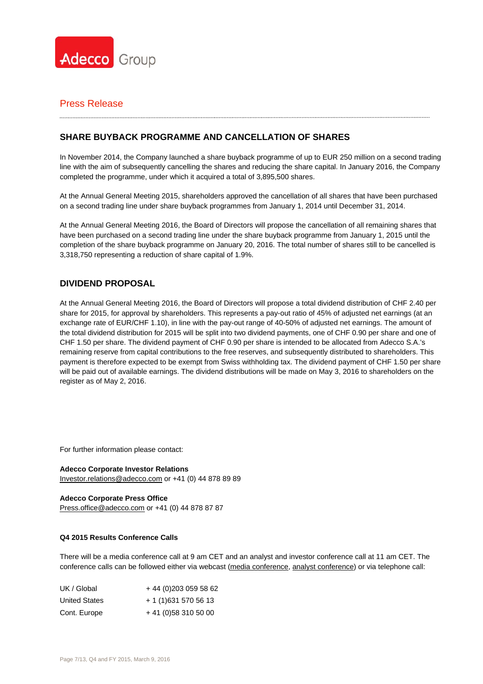

# **SHARE BUYBACK PROGRAMME AND CANCELLATION OF SHARES**

In November 2014, the Company launched a share buyback programme of up to EUR 250 million on a second trading line with the aim of subsequently cancelling the shares and reducing the share capital. In January 2016, the Company completed the programme, under which it acquired a total of 3,895,500 shares.

At the Annual General Meeting 2015, shareholders approved the cancellation of all shares that have been purchased on a second trading line under share buyback programmes from January 1, 2014 until December 31, 2014.

At the Annual General Meeting 2016, the Board of Directors will propose the cancellation of all remaining shares that have been purchased on a second trading line under the share buyback programme from January 1, 2015 until the completion of the share buyback programme on January 20, 2016. The total number of shares still to be cancelled is 3,318,750 representing a reduction of share capital of 1.9%.

# **DIVIDEND PROPOSAL**

At the Annual General Meeting 2016, the Board of Directors will propose a total dividend distribution of CHF 2.40 per share for 2015, for approval by shareholders. This represents a pay-out ratio of 45% of adjusted net earnings (at an exchange rate of EUR/CHF 1.10), in line with the pay-out range of 40-50% of adjusted net earnings. The amount of the total dividend distribution for 2015 will be split into two dividend payments, one of CHF 0.90 per share and one of CHF 1.50 per share. The dividend payment of CHF 0.90 per share is intended to be allocated from Adecco S.A.'s remaining reserve from capital contributions to the free reserves, and subsequently distributed to shareholders. This payment is therefore expected to be exempt from Swiss withholding tax. The dividend payment of CHF 1.50 per share will be paid out of available earnings. The dividend distributions will be made on May 3, 2016 to shareholders on the register as of May 2, 2016.

For further information please contact:

**Adecco Corporate Investor Relations**  Investor.relations@adecco.com or +41 (0) 44 878 89 89

**Adecco Corporate Press Office**  Press.office@adecco.com or +41 (0) 44 878 87 87

### **Q4 2015 Results Conference Calls**

There will be a media conference call at 9 am CET and an analyst and investor conference call at 11 am CET. The conference calls can be followed either via webcast (media conference, analyst conference) or via telephone call:

| UK / Global          | +44 (0) 203 059 58 62 |
|----------------------|-----------------------|
| <b>United States</b> | + 1 (1) 631 570 56 13 |
| Cont. Europe         | $+41(0)583105000$     |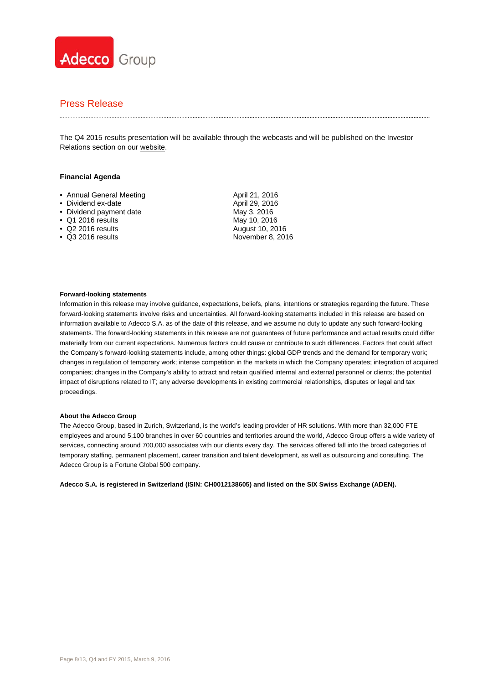

The Q4 2015 results presentation will be available through the webcasts and will be published on the Investor Relations section on our website.

#### **Financial Agenda**

• Annual General Meeting • Dividend ex-date • Dividend payment date • Q1 2016 results • Q2 2016 results • Q3 2016 results April 21, 2016 April 29, 2016 May 3, 2016 May 10, 2016 August 10, 2016 November 8, 2016

#### **Forward-looking statements**

Information in this release may involve guidance, expectations, beliefs, plans, intentions or strategies regarding the future. These forward-looking statements involve risks and uncertainties. All forward-looking statements included in this release are based on information available to Adecco S.A. as of the date of this release, and we assume no duty to update any such forward-looking statements. The forward-looking statements in this release are not guarantees of future performance and actual results could differ materially from our current expectations. Numerous factors could cause or contribute to such differences. Factors that could affect the Company's forward-looking statements include, among other things: global GDP trends and the demand for temporary work; changes in regulation of temporary work; intense competition in the markets in which the Company operates; integration of acquired companies; changes in the Company's ability to attract and retain qualified internal and external personnel or clients; the potential impact of disruptions related to IT; any adverse developments in existing commercial relationships, disputes or legal and tax proceedings.

#### **About the Adecco Group**

The Adecco Group, based in Zurich, Switzerland, is the world's leading provider of HR solutions. With more than 32,000 FTE employees and around 5,100 branches in over 60 countries and territories around the world, Adecco Group offers a wide variety of services, connecting around 700,000 associates with our clients every day. The services offered fall into the broad categories of temporary staffing, permanent placement, career transition and talent development, as well as outsourcing and consulting. The Adecco Group is a Fortune Global 500 company.

**Adecco S.A. is registered in Switzerland (ISIN: CH0012138605) and listed on the SIX Swiss Exchange (ADEN).**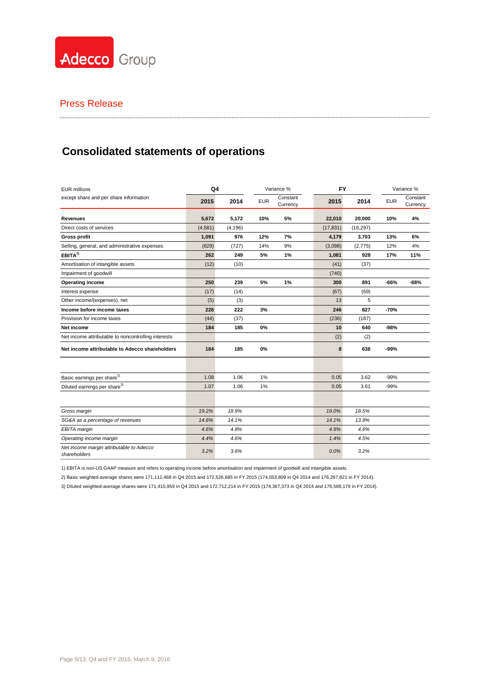

# **Consolidated statements of operations**

| <b>EUR millions</b>                                      | Variance %<br>Q4 |          |            | FY                   |           | Variance % |            |                      |
|----------------------------------------------------------|------------------|----------|------------|----------------------|-----------|------------|------------|----------------------|
| except share and per share information                   | 2015             | 2014     | <b>EUR</b> | Constant<br>Currency | 2015      | 2014       | <b>EUR</b> | Constant<br>Currency |
| Revenues                                                 | 5,672            | 5,172    | 10%        | 5%                   | 22,010    | 20,000     | 10%        | 4%                   |
| Direct costs of services                                 | (4,581)          | (4, 196) |            |                      | (17, 831) | (16, 297)  |            |                      |
| <b>Gross profit</b>                                      | 1,091            | 976      | 12%        | 7%                   | 4,179     | 3,703      | 13%        | 6%                   |
| Selling, general, and administrative expenses            | (829)            | (727)    | 14%        | 9%                   | (3,098)   | (2, 775)   | 12%        | 4%                   |
| $EBITA^{(1)}$                                            | 262              | 249      | 5%         | 1%                   | 1,081     | 928        | 17%        | 11%                  |
| Amortisation of intangible assets                        | (12)             | (10)     |            |                      | (41)      | (37)       |            |                      |
| Impairment of goodwill                                   |                  |          |            |                      | (740)     |            |            |                      |
| Operating income                                         | 250              | 239      | 5%         | 1%                   | 300       | 891        | $-66%$     | $-68%$               |
| Interest expense                                         | (17)             | (14)     |            |                      | (67)      | (69)       |            |                      |
| Other income/(expenses), net                             | (5)              | (3)      |            |                      | 13        | 5          |            |                      |
| Income before income taxes                               | 228              | 222      | 3%         |                      | 246       | 827        | -70%       |                      |
| Provision for income taxes                               | (44)             | (37)     |            |                      | (236)     | (187)      |            |                      |
| Net income                                               | 184              | 185      | 0%         |                      | 10        | 640        | -98%       |                      |
| Net income attributable to noncontrolling interests      |                  |          |            |                      | (2)       | (2)        |            |                      |
| Net income attributable to Adecco shareholders           | 184              | 185      | 0%         |                      | 8         | 638        | $-99%$     |                      |
|                                                          |                  |          |            |                      |           |            |            |                      |
| Basic earnings per share <sup>2)</sup>                   | 1.08             | 1.06     | 1%         |                      | 0.05      | 3.62       | $-99%$     |                      |
| Diluted earnings per share <sup>3)</sup>                 | 1.07             | 1.06     | 1%         |                      | 0.05      | 3.61       | $-99%$     |                      |
|                                                          |                  |          |            |                      |           |            |            |                      |
| Gross margin                                             | 19.2%            | 18.9%    |            |                      | 19.0%     | 18.5%      |            |                      |
| SG&A as a percentage of revenues                         | 14.6%            | 14.1%    |            |                      | 14.1%     | 13.9%      |            |                      |
| EBITA margin                                             | 4.6%             | 4.8%     |            |                      | 4.9%      | 4.6%       |            |                      |
| Operating income margin                                  | 4.4%             | 4.6%     |            |                      | 1.4%      | 4.5%       |            |                      |
| Net income margin attributable to Adecco<br>shareholders | 3.2%             | 3.6%     |            |                      | 0.0%      | 3.2%       |            |                      |

1) EBITA is non-US GAAP measure and refers to operating income before amortisation and impairment of goodwill and intangible assets.

2) Basic weighted-average shares were 171,112,468 in Q4 2015 and 172,526,685 in FY 2015 (174,053,809 in Q4 2014 and 176,267,821 in FY 2014).

3) Diluted weighted-average shares were 171,415,959 in Q4 2015 and 172,712,214 in FY 2015 (174,367,373 in Q4 2014 and 176,589,179 in FY 2014).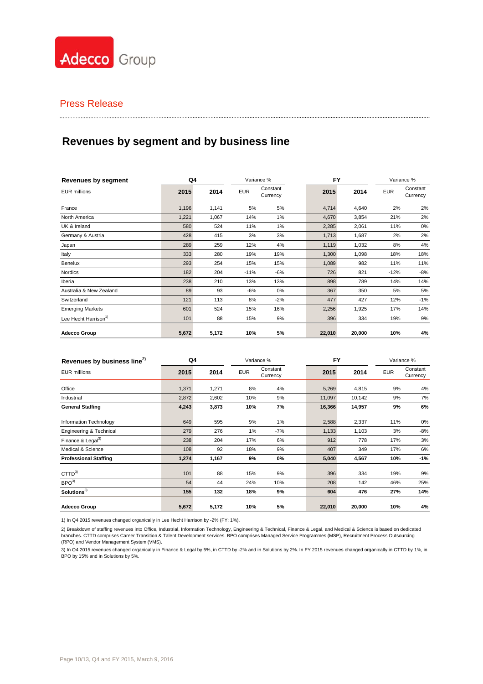

# **Revenues by segment and by business line**

| <b>Revenues by segment</b>       | Q4    |       |            | Variance %           | <b>FY</b> |        |            | Variance %           |
|----------------------------------|-------|-------|------------|----------------------|-----------|--------|------------|----------------------|
| <b>EUR millions</b>              | 2015  | 2014  | <b>EUR</b> | Constant<br>Currency | 2015      | 2014   | <b>EUR</b> | Constant<br>Currency |
| France                           | 1,196 | 1,141 | 5%         | 5%                   | 4,714     | 4,640  | 2%         | 2%                   |
| North America                    | 1,221 | 1,067 | 14%        | $1\%$                | 4,670     | 3,854  | 21%        | 2%                   |
| UK & Ireland                     | 580   | 524   | 11%        | 1%                   | 2,285     | 2,061  | 11%        | 0%                   |
| Germany & Austria                | 428   | 415   | 3%         | 3%                   | 1,713     | 1,687  | 2%         | 2%                   |
| Japan                            | 289   | 259   | 12%        | 4%                   | 1,119     | 1,032  | 8%         | 4%                   |
| Italy                            | 333   | 280   | 19%        | 19%                  | 1,300     | 1,098  | 18%        | 18%                  |
| Benelux                          | 293   | 254   | 15%        | 15%                  | 1,089     | 982    | 11%        | 11%                  |
| Nordics                          | 182   | 204   | $-11%$     | $-6%$                | 726       | 821    | $-12%$     | $-8%$                |
| Iberia                           | 238   | 210   | 13%        | 13%                  | 898       | 789    | 14%        | 14%                  |
| Australia & New Zealand          | 89    | 93    | $-6%$      | 0%                   | 367       | 350    | 5%         | 5%                   |
| Switzerland                      | 121   | 113   | 8%         | $-2%$                | 477       | 427    | 12%        | $-1%$                |
| <b>Emerging Markets</b>          | 601   | 524   | 15%        | 16%                  | 2,256     | 1,925  | 17%        | 14%                  |
| Lee Hecht Harrison <sup>1)</sup> | 101   | 88    | 15%        | 9%                   | 396       | 334    | 19%        | 9%                   |
| <b>Adecco Group</b>              | 5,672 | 5,172 | 10%        | 5%                   | 22,010    | 20,000 | 10%        | 4%                   |

.....................................

| Revenues by business line <sup>2)</sup> | Q4    |       |            | Variance %           | <b>FY</b> |        |            | Variance %           |
|-----------------------------------------|-------|-------|------------|----------------------|-----------|--------|------------|----------------------|
| <b>EUR millions</b>                     | 2015  | 2014  | <b>EUR</b> | Constant<br>Currency | 2015      | 2014   | <b>EUR</b> | Constant<br>Currency |
| Office                                  | 1,371 | 1,271 | 8%         | 4%                   | 5,269     | 4,815  | 9%         | 4%                   |
| Industrial                              | 2,872 | 2,602 | 10%        | 9%                   | 11,097    | 10,142 | 9%         | 7%                   |
| <b>General Staffing</b>                 | 4,243 | 3,873 | 10%        | 7%                   | 16,366    | 14,957 | 9%         | 6%                   |
| Information Technology                  | 649   | 595   | 9%         | 1%                   | 2,588     | 2,337  | 11%        | 0%                   |
| Engineering & Technical                 | 279   | 276   | 1%         | $-7%$                | 1,133     | 1,103  | 3%         | -8%                  |
| Finance & Legal <sup>3)</sup>           | 238   | 204   | 17%        | 6%                   | 912       | 778    | 17%        | 3%                   |
| Medical & Science                       | 108   | 92    | 18%        | 9%                   | 407       | 349    | 17%        | 6%                   |
| <b>Professional Staffing</b>            | 1,274 | 1,167 | 9%         | 0%                   | 5,040     | 4,567  | 10%        | -1%                  |
| $CTTD^{3)}$                             | 101   | 88    | 15%        | 9%                   | 396       | 334    | 19%        | 9%                   |
| BPO <sup>3</sup>                        | 54    | 44    | 24%        | 10%                  | 208       | 142    | 46%        | 25%                  |
| Solutions <sup>3)</sup>                 | 155   | 132   | 18%        | 9%                   | 604       | 476    | 27%        | 14%                  |
| <b>Adecco Group</b>                     | 5,672 | 5,172 | 10%        | 5%                   | 22,010    | 20,000 | 10%        | 4%                   |

1) In Q4 2015 revenues changed organically in Lee Hecht Harrison by -2% (FY: 1%).

2) Breakdown of staffing revenues into Office, Industrial, Information Technology, Engineering & Technical, Finance & Legal, and Medical & Science is based on dedicated branches. CTTD comprises Career Transition & Talent Development services. BPO comprises Managed Service Programmes (MSP), Recruitment Process Outsourcing (RPO) and Vendor Management System (VMS).

3) In Q4 2015 revenues changed organically in Finance & Legal by 5%, in CTTD by -2% and in Solutions by 2%. In FY 2015 revenues changed organically in CTTD by 1%, in BPO by 15% and in Solutions by 5%.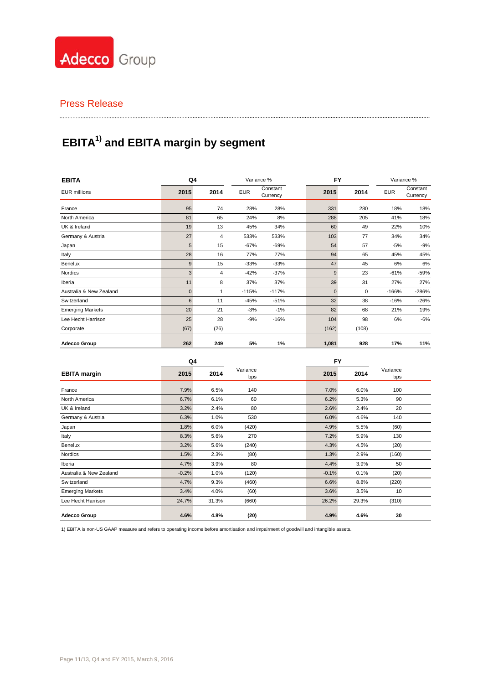

# **EBITA1) and EBITA margin by segment**

| <b>EBITA</b>            | Q4          |      |            | Variance %           | <b>FY</b>    |             |            | Variance %           |
|-------------------------|-------------|------|------------|----------------------|--------------|-------------|------------|----------------------|
| <b>EUR</b> millions     | 2015        | 2014 | <b>EUR</b> | Constant<br>Currency | 2015         | 2014        | <b>EUR</b> | Constant<br>Currency |
| France                  | 95          | 74   | 28%        | 28%                  | 331          | 280         | 18%        | 18%                  |
| North America           | 81          | 65   | 24%        | 8%                   | 288          | 205         | 41%        | 18%                  |
| UK & Ireland            | 19          | 13   | 45%        | 34%                  | 60           | 49          | 22%        | 10%                  |
| Germany & Austria       | 27          | 4    | 533%       | 533%                 | 103          | 77          | 34%        | 34%                  |
| Japan                   | 5           | 15   | $-67%$     | -69%                 | 54           | 57          | $-5%$      | $-9%$                |
| Italy                   | 28          | 16   | 77%        | 77%                  | 94           | 65          | 45%        | 45%                  |
| Benelux                 | 9           | 15   | $-33%$     | $-33%$               | 47           | 45          | 6%         | 6%                   |
| Nordics                 | 3           | 4    | $-42%$     | $-37%$               | 9            | 23          | $-61%$     | $-59%$               |
| Iberia                  | 11          | 8    | 37%        | 37%                  | 39           | 31          | 27%        | 27%                  |
| Australia & New Zealand | $\mathbf 0$ | 1    | $-115%$    | $-117%$              | $\mathbf{0}$ | $\mathbf 0$ | $-166%$    | -286%                |
| Switzerland             | 6           | 11   | $-45%$     | $-51%$               | 32           | 38          | $-16%$     | $-26%$               |
| <b>Emerging Markets</b> | 20          | 21   | $-3%$      | $-1%$                | 82           | 68          | 21%        | 19%                  |
| Lee Hecht Harrison      | 25          | 28   | $-9%$      | $-16%$               | 104          | 98          | 6%         | $-6%$                |
| Corporate               | (67)        | (26) |            |                      | (162)        | (108)       |            |                      |
| <b>Adecco Group</b>     | 262         | 249  | 5%         | 1%                   | 1,081        | 928         | 17%        | 11%                  |

|                         | Q4      |       |                 | <b>FY</b> |       |                 |  |
|-------------------------|---------|-------|-----------------|-----------|-------|-----------------|--|
| <b>EBITA</b> margin     | 2015    | 2014  | Variance<br>bps | 2015      | 2014  | Variance<br>bps |  |
| France                  | 7.9%    | 6.5%  | 140             | 7.0%      | 6.0%  | 100             |  |
| North America           | 6.7%    | 6.1%  | 60              | 6.2%      | 5.3%  | 90              |  |
| UK & Ireland            | 3.2%    | 2.4%  | 80              | 2.6%      | 2.4%  | 20              |  |
| Germany & Austria       | 6.3%    | 1.0%  | 530             | 6.0%      | 4.6%  | 140             |  |
| Japan                   | 1.8%    | 6.0%  | (420)           | 4.9%      | 5.5%  | (60)            |  |
| Italy                   | 8.3%    | 5.6%  | 270             | 7.2%      | 5.9%  | 130             |  |
| Benelux                 | 3.2%    | 5.6%  | (240)           | 4.3%      | 4.5%  | (20)            |  |
| Nordics                 | 1.5%    | 2.3%  | (80)            | 1.3%      | 2.9%  | (160)           |  |
| Iberia                  | 4.7%    | 3.9%  | 80              | 4.4%      | 3.9%  | 50              |  |
| Australia & New Zealand | $-0.2%$ | 1.0%  | (120)           | $-0.1%$   | 0.1%  | (20)            |  |
| Switzerland             | 4.7%    | 9.3%  | (460)           | 6.6%      | 8.8%  | (220)           |  |
| <b>Emerging Markets</b> | 3.4%    | 4.0%  | (60)            | 3.6%      | 3.5%  | 10              |  |
| Lee Hecht Harrison      | 24.7%   | 31.3% | (660)           | 26.2%     | 29.3% | (310)           |  |
| <b>Adecco Group</b>     | 4.6%    | 4.8%  | (20)            | 4.9%      | 4.6%  | 30              |  |

1) EBITA is non-US GAAP measure and refers to operating income before amortisation and impairment of goodwill and intangible assets.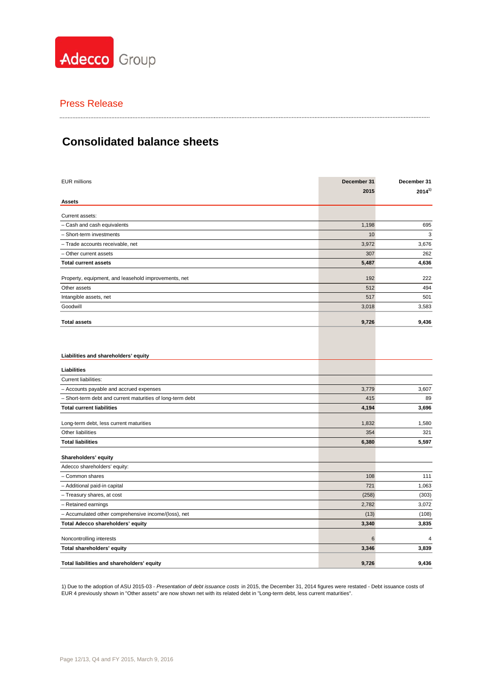

#### 

# **Consolidated balance sheets**

| <b>EUR millions</b>                                        | December 31     | December 31 |  |
|------------------------------------------------------------|-----------------|-------------|--|
|                                                            | 2015            | $2014^{1}$  |  |
| Assets                                                     |                 |             |  |
| Current assets:                                            |                 |             |  |
| - Cash and cash equivalents                                | 1,198           | 695         |  |
| - Short-term investments                                   | 10              | 3           |  |
| - Trade accounts receivable, net                           | 3,972           | 3,676       |  |
| - Other current assets                                     | 307             | 262         |  |
| <b>Total current assets</b>                                | 5,487           | 4,636       |  |
|                                                            |                 |             |  |
| Property, equipment, and leasehold improvements, net       | 192             | 222         |  |
| Other assets                                               | 512             | 494         |  |
| Intangible assets, net                                     | 517             | 501         |  |
| Goodwill                                                   | 3,018           | 3,583       |  |
| <b>Total assets</b>                                        | 9,726           | 9,436       |  |
|                                                            |                 |             |  |
| Liabilities and shareholders' equity                       |                 |             |  |
| Liabilities                                                |                 |             |  |
| <b>Current liabilities:</b>                                |                 |             |  |
| - Accounts payable and accrued expenses                    | 3,779           | 3,607       |  |
| - Short-term debt and current maturities of long-term debt | 415             | 89          |  |
| <b>Total current liabilities</b>                           | 4,194           | 3,696       |  |
| Long-term debt, less current maturities                    | 1,832           | 1,580       |  |
| Other liabilities                                          | 354             | 321         |  |
| <b>Total liabilities</b>                                   | 6,380           | 5,597       |  |
|                                                            |                 |             |  |
| Shareholders' equity                                       |                 |             |  |
| Adecco shareholders' equity:                               |                 |             |  |
| - Common shares                                            | 108             | 111         |  |
| - Additional paid-in capital                               | 721             | 1,063       |  |
| - Treasury shares, at cost                                 | (258)           | (303)       |  |
| - Retained earnings                                        | 2,782           | 3,072       |  |
| - Accumulated other comprehensive income/(loss), net       | (13)            | (108)       |  |
| Total Adecco shareholders' equity                          | 3,340           | 3,835       |  |
| Noncontrolling interests                                   | $6\phantom{1}6$ | 4           |  |
| Total shareholders' equity                                 | 3,346           | 3,839       |  |
| Total liabilities and shareholders' equity                 | 9,726           | 9,436       |  |

1) Due to the adoption of ASU 2015-03 - *Presentation of debt issuance costs* in 2015, the December 31, 2014 figures were restated - Debt issuance costs of EUR 4 previously shown in "Other assets" are now shown net with its related debt in "Long-term debt, less current maturities".